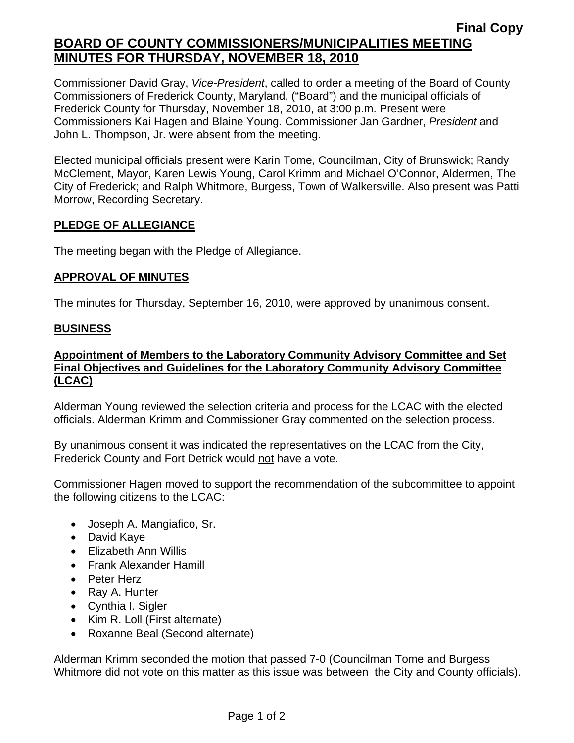# **Final Copy BOARD OF COUNTY COMMISSIONERS/MUNICIPALITIES MEETING MINUTES FOR THURSDAY, NOVEMBER 18, 2010**

Commissioner David Gray, *Vice-President*, called to order a meeting of the Board of County Commissioners of Frederick County, Maryland, ("Board") and the municipal officials of Frederick County for Thursday, November 18, 2010, at 3:00 p.m. Present were Commissioners Kai Hagen and Blaine Young. Commissioner Jan Gardner, *President* and John L. Thompson, Jr. were absent from the meeting.

Elected municipal officials present were Karin Tome, Councilman, City of Brunswick; Randy McClement, Mayor, Karen Lewis Young, Carol Krimm and Michael O'Connor, Aldermen, The City of Frederick; and Ralph Whitmore, Burgess, Town of Walkersville. Also present was Patti Morrow, Recording Secretary.

# **PLEDGE OF ALLEGIANCE**

The meeting began with the Pledge of Allegiance.

# **APPROVAL OF MINUTES**

The minutes for Thursday, September 16, 2010, were approved by unanimous consent.

# **BUSINESS**

# **Appointment of Members to the Laboratory Community Advisory Committee and Set Final Objectives and Guidelines for the Laboratory Community Advisory Committee (LCAC)**

Alderman Young reviewed the selection criteria and process for the LCAC with the elected officials. Alderman Krimm and Commissioner Gray commented on the selection process.

By unanimous consent it was indicated the representatives on the LCAC from the City, Frederick County and Fort Detrick would not have a vote.

Commissioner Hagen moved to support the recommendation of the subcommittee to appoint the following citizens to the LCAC:

- Joseph A. Mangiafico, Sr.
- David Kaye
- Elizabeth Ann Willis
- Frank Alexander Hamill
- Peter Herz
- Ray A. Hunter
- Cynthia I. Sigler
- Kim R. Loll (First alternate)
- Roxanne Beal (Second alternate)

Alderman Krimm seconded the motion that passed 7-0 (Councilman Tome and Burgess Whitmore did not vote on this matter as this issue was between the City and County officials).